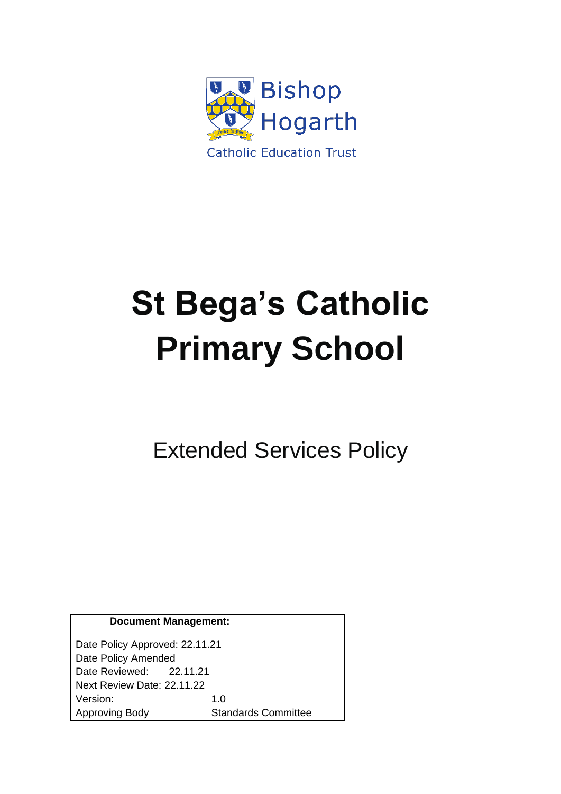

# **St Bega's Catholic Primary School**

Extended Services Policy

| <b>Document Management:</b> |
|-----------------------------|
|-----------------------------|

Date Policy Approved: 22.11.21 Date Policy Amended Date Reviewed: 22.11.21 Next Review Date: 22.11.22 Version: 1.0 Approving Body Standards Committee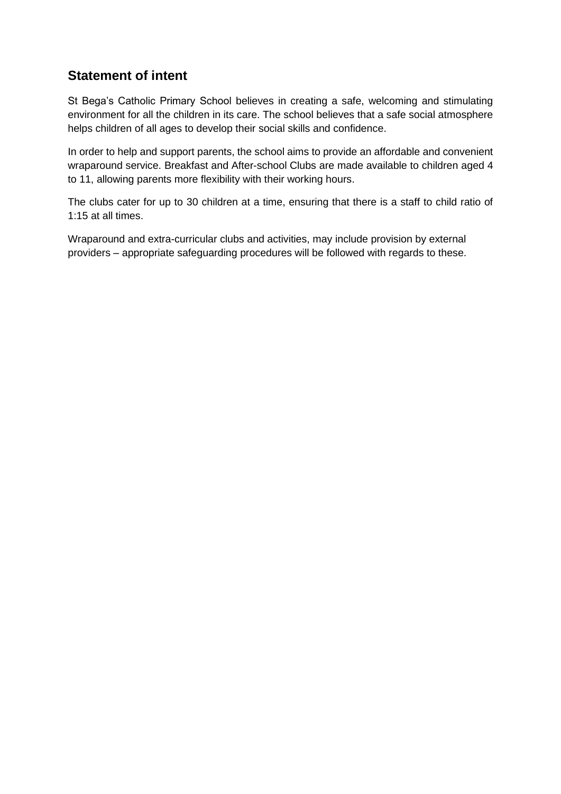# **Statement of intent**

St Bega's Catholic Primary School believes in creating a safe, welcoming and stimulating environment for all the children in its care. The school believes that a safe social atmosphere helps children of all ages to develop their social skills and confidence.

In order to help and support parents, the school aims to provide an affordable and convenient wraparound service. Breakfast and After-school Clubs are made available to children aged 4 to 11, allowing parents more flexibility with their working hours.

The clubs cater for up to 30 children at a time, ensuring that there is a staff to child ratio of 1:15 at all times.

Wraparound and extra-curricular clubs and activities, may include provision by external providers – appropriate safeguarding procedures will be followed with regards to these.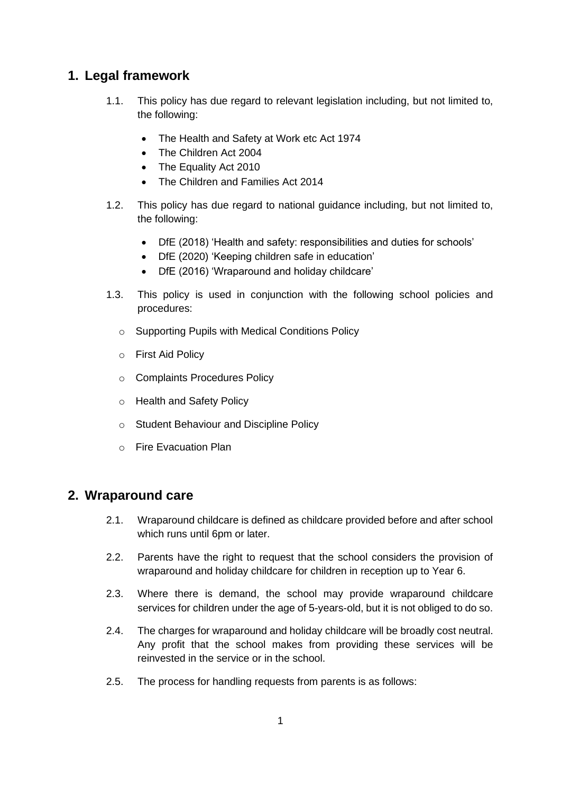# **1. Legal framework**

- 1.1. This policy has due regard to relevant legislation including, but not limited to, the following:
	- The Health and Safety at Work etc Act 1974
	- The Children Act 2004
	- The Equality Act 2010
	- The Children and Families Act 2014
- 1.2. This policy has due regard to national guidance including, but not limited to, the following:
	- DfE (2018) 'Health and safety: responsibilities and duties for schools'
	- DfE (2020) 'Keeping children safe in education'
	- DfE (2016) 'Wraparound and holiday childcare'
- 1.3. This policy is used in conjunction with the following school policies and procedures:
	- o Supporting Pupils with Medical Conditions Policy
	- o First Aid Policy
	- o Complaints Procedures Policy
	- o Health and Safety Policy
	- o Student Behaviour and Discipline Policy
	- o Fire Evacuation Plan

#### **2. Wraparound care**

- 2.1. Wraparound childcare is defined as childcare provided before and after school which runs until 6pm or later.
- 2.2. Parents have the right to request that the school considers the provision of wraparound and holiday childcare for children in reception up to Year 6.
- 2.3. Where there is demand, the school may provide wraparound childcare services for children under the age of 5-years-old, but it is not obliged to do so.
- 2.4. The charges for wraparound and holiday childcare will be broadly cost neutral. Any profit that the school makes from providing these services will be reinvested in the service or in the school.
- 2.5. The process for handling requests from parents is as follows: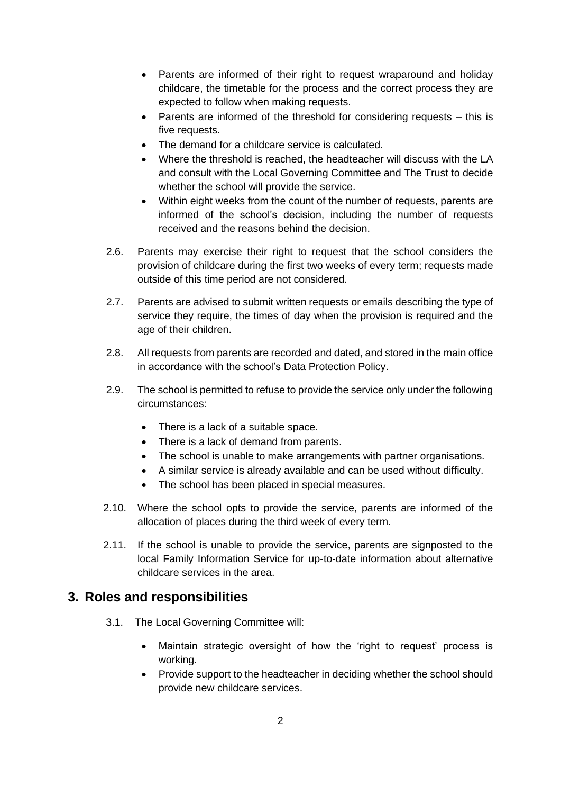- Parents are informed of their right to request wraparound and holiday childcare, the timetable for the process and the correct process they are expected to follow when making requests.
- Parents are informed of the threshold for considering requests this is five requests.
- The demand for a childcare service is calculated.
- Where the threshold is reached, the headteacher will discuss with the LA and consult with the Local Governing Committee and The Trust to decide whether the school will provide the service.
- Within eight weeks from the count of the number of requests, parents are informed of the school's decision, including the number of requests received and the reasons behind the decision.
- 2.6. Parents may exercise their right to request that the school considers the provision of childcare during the first two weeks of every term; requests made outside of this time period are not considered.
- 2.7. Parents are advised to submit written requests or emails describing the type of service they require, the times of day when the provision is required and the age of their children.
- 2.8. All requests from parents are recorded and dated, and stored in the main office in accordance with the school's Data Protection Policy.
- 2.9. The school is permitted to refuse to provide the service only under the following circumstances:
	- There is a lack of a suitable space.
	- There is a lack of demand from parents.
	- The school is unable to make arrangements with partner organisations.
	- A similar service is already available and can be used without difficulty.
	- The school has been placed in special measures.
- 2.10. Where the school opts to provide the service, parents are informed of the allocation of places during the third week of every term.
- 2.11. If the school is unable to provide the service, parents are signposted to the local Family Information Service for up-to-date information about alternative childcare services in the area.

#### **3. Roles and responsibilities**

- 3.1. The Local Governing Committee will:
	- Maintain strategic oversight of how the 'right to request' process is working.
	- Provide support to the headteacher in deciding whether the school should provide new childcare services.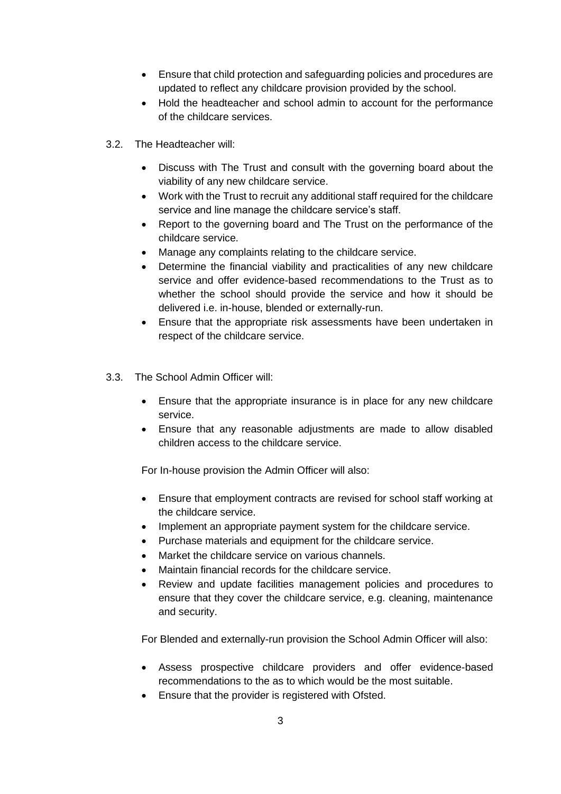- Ensure that child protection and safeguarding policies and procedures are updated to reflect any childcare provision provided by the school.
- Hold the headteacher and school admin to account for the performance of the childcare services.
- 3.2. The Headteacher will:
	- Discuss with The Trust and consult with the governing board about the viability of any new childcare service.
	- Work with the Trust to recruit any additional staff required for the childcare service and line manage the childcare service's staff.
	- Report to the governing board and The Trust on the performance of the childcare service.
	- Manage any complaints relating to the childcare service.
	- Determine the financial viability and practicalities of any new childcare service and offer evidence-based recommendations to the Trust as to whether the school should provide the service and how it should be delivered i.e. in-house, blended or externally-run.
	- Ensure that the appropriate risk assessments have been undertaken in respect of the childcare service.
- 3.3. The School Admin Officer will:
	- Ensure that the appropriate insurance is in place for any new childcare service.
	- Ensure that any reasonable adjustments are made to allow disabled children access to the childcare service.

For In-house provision the Admin Officer will also:

- Ensure that employment contracts are revised for school staff working at the childcare service.
- Implement an appropriate payment system for the childcare service.
- Purchase materials and equipment for the childcare service.
- Market the childcare service on various channels.
- Maintain financial records for the childcare service.
- Review and update facilities management policies and procedures to ensure that they cover the childcare service, e.g. cleaning, maintenance and security.

For Blended and externally-run provision the School Admin Officer will also:

- Assess prospective childcare providers and offer evidence-based recommendations to the as to which would be the most suitable.
- Ensure that the provider is registered with Ofsted.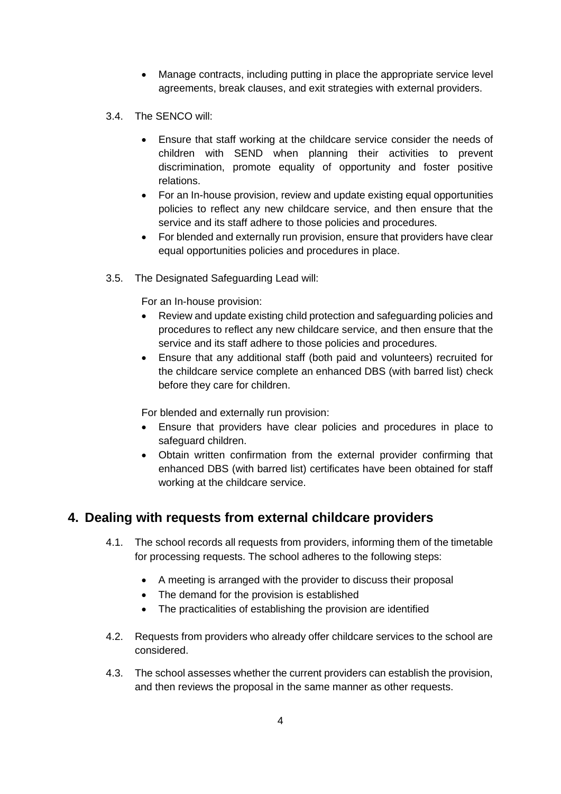- Manage contracts, including putting in place the appropriate service level agreements, break clauses, and exit strategies with external providers.
- 3.4. The SENCO will:
	- Ensure that staff working at the childcare service consider the needs of children with SEND when planning their activities to prevent discrimination, promote equality of opportunity and foster positive relations.
	- For an In-house provision, review and update existing equal opportunities policies to reflect any new childcare service, and then ensure that the service and its staff adhere to those policies and procedures.
	- For blended and externally run provision, ensure that providers have clear equal opportunities policies and procedures in place.
- 3.5. The Designated Safeguarding Lead will:

For an In-house provision:

- Review and update existing child protection and safeguarding policies and procedures to reflect any new childcare service, and then ensure that the service and its staff adhere to those policies and procedures.
- Ensure that any additional staff (both paid and volunteers) recruited for the childcare service complete an enhanced DBS (with barred list) check before they care for children.

For blended and externally run provision:

- Ensure that providers have clear policies and procedures in place to safeguard children.
- Obtain written confirmation from the external provider confirming that enhanced DBS (with barred list) certificates have been obtained for staff working at the childcare service.

# **4. Dealing with requests from external childcare providers**

- 4.1. The school records all requests from providers, informing them of the timetable for processing requests. The school adheres to the following steps:
	- A meeting is arranged with the provider to discuss their proposal
	- The demand for the provision is established
	- The practicalities of establishing the provision are identified
- 4.2. Requests from providers who already offer childcare services to the school are considered.
- 4.3. The school assesses whether the current providers can establish the provision, and then reviews the proposal in the same manner as other requests.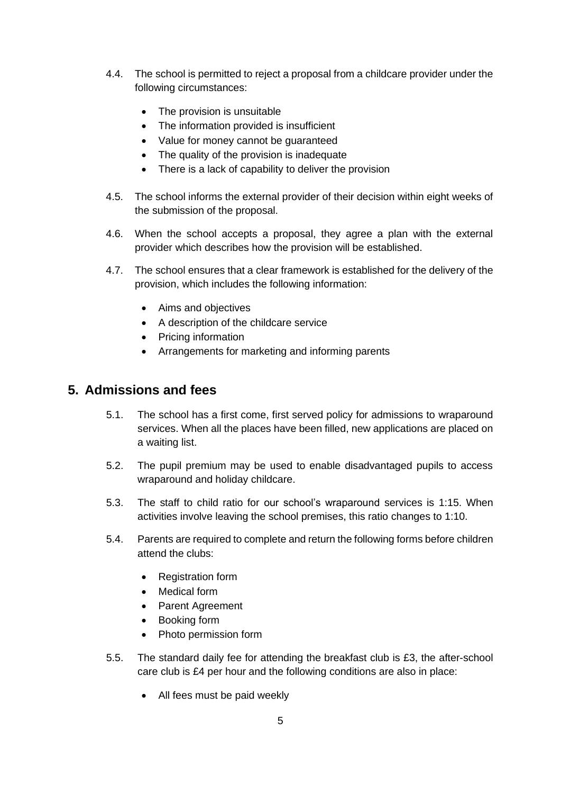- 4.4. The school is permitted to reject a proposal from a childcare provider under the following circumstances:
	- The provision is unsuitable
	- The information provided is insufficient
	- Value for money cannot be guaranteed
	- The quality of the provision is inadequate
	- There is a lack of capability to deliver the provision
- 4.5. The school informs the external provider of their decision within eight weeks of the submission of the proposal.
- 4.6. When the school accepts a proposal, they agree a plan with the external provider which describes how the provision will be established.
- 4.7. The school ensures that a clear framework is established for the delivery of the provision, which includes the following information:
	- Aims and objectives
	- A description of the childcare service
	- Pricing information
	- Arrangements for marketing and informing parents

#### **5. Admissions and fees**

- 5.1. The school has a first come, first served policy for admissions to wraparound services. When all the places have been filled, new applications are placed on a waiting list.
- 5.2. The pupil premium may be used to enable disadvantaged pupils to access wraparound and holiday childcare.
- 5.3. The staff to child ratio for our school's wraparound services is 1:15. When activities involve leaving the school premises, this ratio changes to 1:10.
- 5.4. Parents are required to complete and return the following forms before children attend the clubs:
	- Registration form
	- Medical form
	- Parent Agreement
	- Booking form
	- Photo permission form
- 5.5. The standard daily fee for attending the breakfast club is £3, the after-school care club is £4 per hour and the following conditions are also in place:
	- All fees must be paid weekly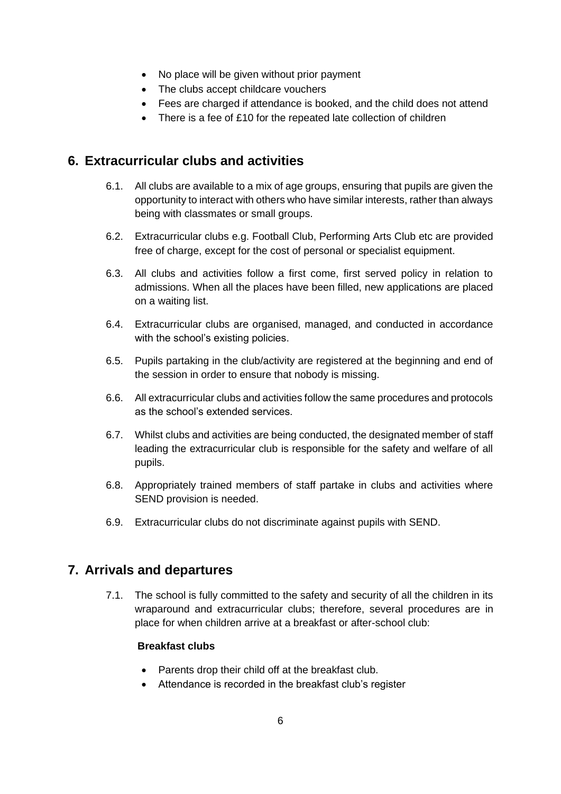- No place will be given without prior payment
- The clubs accept childcare vouchers
- Fees are charged if attendance is booked, and the child does not attend
- There is a fee of £10 for the repeated late collection of children

#### **6. Extracurricular clubs and activities**

- 6.1. All clubs are available to a mix of age groups, ensuring that pupils are given the opportunity to interact with others who have similar interests, rather than always being with classmates or small groups.
- 6.2. Extracurricular clubs e.g. Football Club, Performing Arts Club etc are provided free of charge, except for the cost of personal or specialist equipment.
- 6.3. All clubs and activities follow a first come, first served policy in relation to admissions. When all the places have been filled, new applications are placed on a waiting list.
- 6.4. Extracurricular clubs are organised, managed, and conducted in accordance with the school's existing policies.
- 6.5. Pupils partaking in the club/activity are registered at the beginning and end of the session in order to ensure that nobody is missing.
- 6.6. All extracurricular clubs and activities follow the same procedures and protocols as the school's extended services.
- 6.7. Whilst clubs and activities are being conducted, the designated member of staff leading the extracurricular club is responsible for the safety and welfare of all pupils.
- 6.8. Appropriately trained members of staff partake in clubs and activities where SEND provision is needed.
- 6.9. Extracurricular clubs do not discriminate against pupils with SEND.

# **7. Arrivals and departures**

7.1. The school is fully committed to the safety and security of all the children in its wraparound and extracurricular clubs; therefore, several procedures are in place for when children arrive at a breakfast or after-school club:

#### **Breakfast clubs**

- Parents drop their child off at the breakfast club.
- Attendance is recorded in the breakfast club's register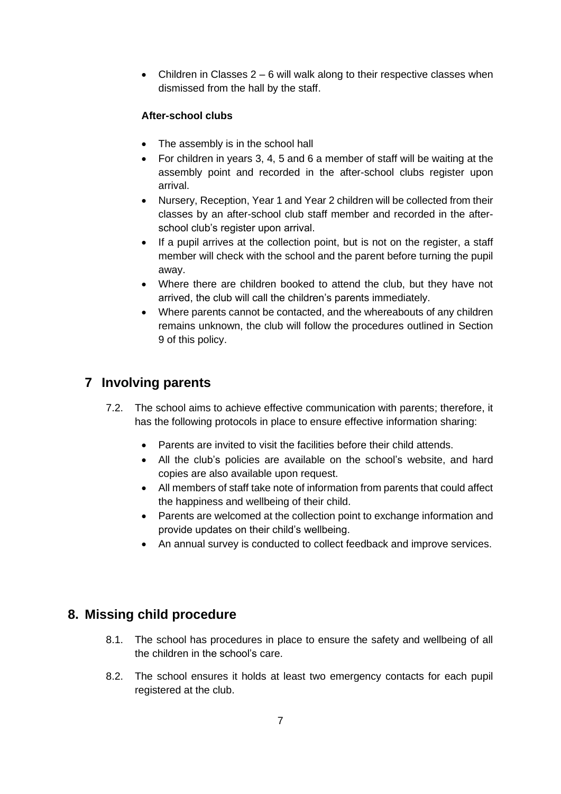• Children in Classes  $2 - 6$  will walk along to their respective classes when dismissed from the hall by the staff.

#### **After-school clubs**

- The assembly is in the school hall
- For children in years 3, 4, 5 and 6 a member of staff will be waiting at the assembly point and recorded in the after-school clubs register upon arrival.
- Nursery, Reception, Year 1 and Year 2 children will be collected from their classes by an after-school club staff member and recorded in the afterschool club's register upon arrival.
- If a pupil arrives at the collection point, but is not on the register, a staff member will check with the school and the parent before turning the pupil away.
- Where there are children booked to attend the club, but they have not arrived, the club will call the children's parents immediately.
- Where parents cannot be contacted, and the whereabouts of any children remains unknown, the club will follow the procedures outlined in Section 9 of this policy.

# **7 Involving parents**

- 7.2. The school aims to achieve effective communication with parents; therefore, it has the following protocols in place to ensure effective information sharing:
	- Parents are invited to visit the facilities before their child attends.
	- All the club's policies are available on the school's website, and hard copies are also available upon request.
	- All members of staff take note of information from parents that could affect the happiness and wellbeing of their child.
	- Parents are welcomed at the collection point to exchange information and provide updates on their child's wellbeing.
	- An annual survey is conducted to collect feedback and improve services.

# **8. Missing child procedure**

- 8.1. The school has procedures in place to ensure the safety and wellbeing of all the children in the school's care.
- 8.2. The school ensures it holds at least two emergency contacts for each pupil registered at the club.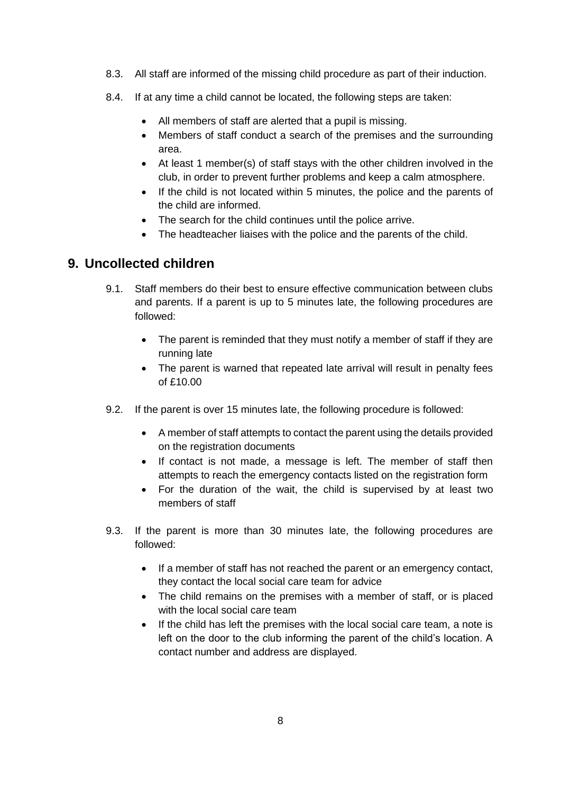- 8.3. All staff are informed of the missing child procedure as part of their induction.
- 8.4. If at any time a child cannot be located, the following steps are taken:
	- All members of staff are alerted that a pupil is missing.
	- Members of staff conduct a search of the premises and the surrounding area.
	- At least 1 member(s) of staff stays with the other children involved in the club, in order to prevent further problems and keep a calm atmosphere.
	- If the child is not located within 5 minutes, the police and the parents of the child are informed.
	- The search for the child continues until the police arrive.
	- The headteacher liaises with the police and the parents of the child.

#### <span id="page-9-0"></span>**9. Uncollected children**

- 9.1. Staff members do their best to ensure effective communication between clubs and parents. If a parent is up to 5 minutes late, the following procedures are followed:
	- The parent is reminded that they must notify a member of staff if they are running late
	- The parent is warned that repeated late arrival will result in penalty fees  $of f10.00$
- 9.2. If the parent is over 15 minutes late, the following procedure is followed:
	- A member of staff attempts to contact the parent using the details provided on the registration documents
	- If contact is not made, a message is left. The member of staff then attempts to reach the emergency contacts listed on the registration form
	- For the duration of the wait, the child is supervised by at least two members of staff
- 9.3. If the parent is more than 30 minutes late, the following procedures are followed:
	- If a member of staff has not reached the parent or an emergency contact, they contact the local social care team for advice
	- The child remains on the premises with a member of staff, or is placed with the local social care team
	- If the child has left the premises with the local social care team, a note is left on the door to the club informing the parent of the child's location. A contact number and address are displayed.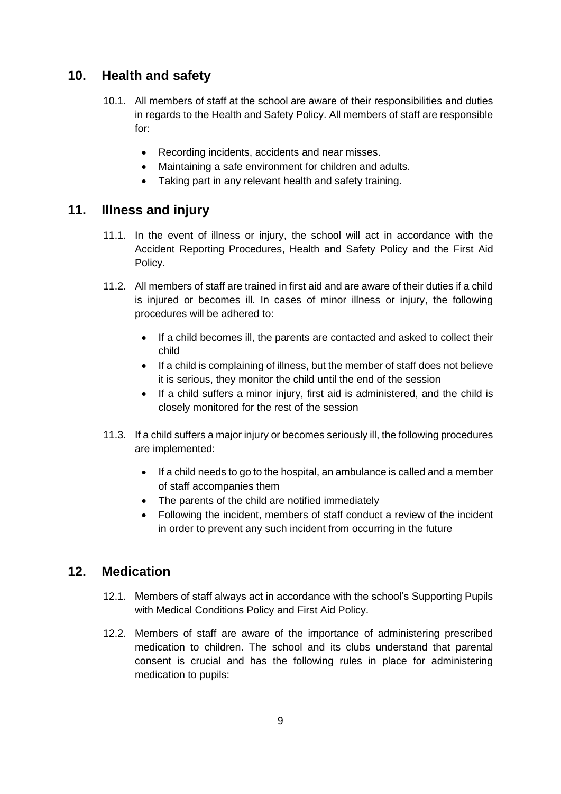# **10. Health and safety**

- 10.1. All members of staff at the school are aware of their responsibilities and duties in regards to the Health and Safety Policy. All members of staff are responsible for:
	- Recording incidents, accidents and near misses.
	- Maintaining a safe environment for children and adults.
	- Taking part in any relevant health and safety training.

#### **11. Illness and injury**

- 11.1. In the event of illness or injury, the school will act in accordance with the Accident Reporting Procedures, Health and Safety Policy and the First Aid Policy.
- 11.2. All members of staff are trained in first aid and are aware of their duties if a child is injured or becomes ill. In cases of minor illness or injury, the following procedures will be adhered to:
	- If a child becomes ill, the parents are contacted and asked to collect their child
	- If a child is complaining of illness, but the member of staff does not believe it is serious, they monitor the child until the end of the session
	- If a child suffers a minor injury, first aid is administered, and the child is closely monitored for the rest of the session
- 11.3. If a child suffers a major injury or becomes seriously ill, the following procedures are implemented:
	- If a child needs to go to the hospital, an ambulance is called and a member of staff accompanies them
	- The parents of the child are notified immediately
	- Following the incident, members of staff conduct a review of the incident in order to prevent any such incident from occurring in the future

# **12. Medication**

- 12.1. Members of staff always act in accordance with the school's Supporting Pupils with Medical Conditions Policy and First Aid Policy.
- 12.2. Members of staff are aware of the importance of administering prescribed medication to children. The school and its clubs understand that parental consent is crucial and has the following rules in place for administering medication to pupils: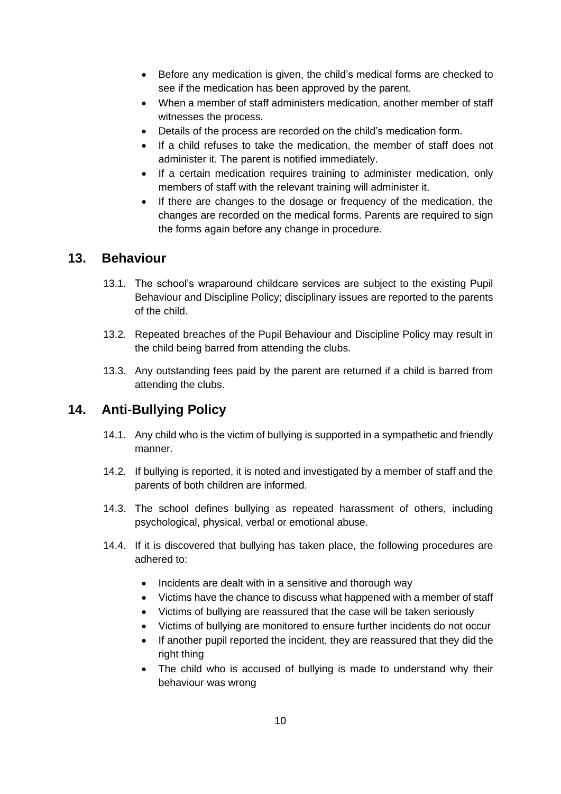- Before any medication is given, the child's medical forms are checked to see if the medication has been approved by the parent.
- When a member of staff administers medication, another member of staff witnesses the process.
- Details of the process are recorded on the child's medication form.
- If a child refuses to take the medication, the member of staff does not administer it. The parent is notified immediately.
- If a certain medication requires training to administer medication, only members of staff with the relevant training will administer it.
- If there are changes to the dosage or frequency of the medication, the changes are recorded on the medical forms. Parents are required to sign the forms again before any change in procedure.

#### **13. Behaviour**

- 13.1. The school's wraparound childcare services are subject to the existing Pupil Behaviour and Discipline Policy; disciplinary issues are reported to the parents of the child.
- 13.2. Repeated breaches of the Pupil Behaviour and Discipline Policy may result in the child being barred from attending the clubs.
- 13.3. Any outstanding fees paid by the parent are returned if a child is barred from attending the clubs.

# **14. Anti-Bullying Policy**

- 14.1. Any child who is the victim of bullying is supported in a sympathetic and friendly manner.
- 14.2. If bullying is reported, it is noted and investigated by a member of staff and the parents of both children are informed.
- 14.3. The school defines bullying as repeated harassment of others, including psychological, physical, verbal or emotional abuse.
- 14.4. If it is discovered that bullying has taken place, the following procedures are adhered to:
	- Incidents are dealt with in a sensitive and thorough way
	- Victims have the chance to discuss what happened with a member of staff
	- Victims of bullying are reassured that the case will be taken seriously
	- Victims of bullying are monitored to ensure further incidents do not occur
	- If another pupil reported the incident, they are reassured that they did the right thing
	- The child who is accused of bullying is made to understand why their behaviour was wrong